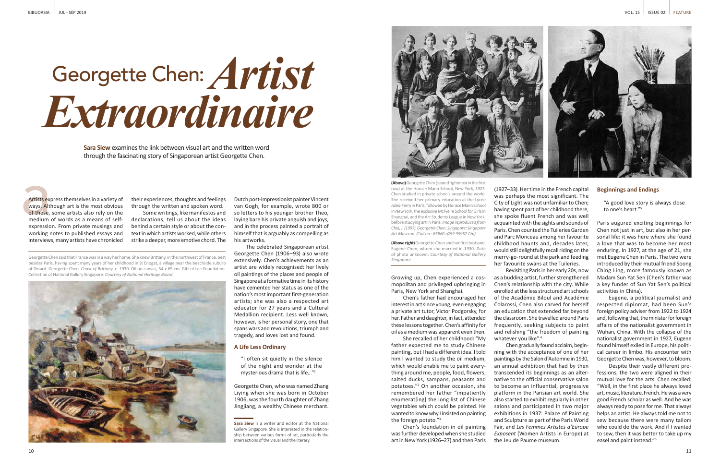**(Above)** Georgette Chen (seated rightmost in the first row) at the Horace Mann School, New York, 1923. Chen studied in private schools around the world. She received her primary education at the Lycée Jules-Ferry in Paris, followed by Horace Mann School in New York, the exclusive McTyeire School for Girls in Shanghai, and the Art Students League in New York, before studying art in Paris. *Image reproduced from Chia, J. (1997). Georgette Chen. Singapore: Singapore Art Museum. (Call no.: RSING q759.95957 CHI).*

**(Above right)** Georgette Chen and her first husband, Eugene Chen, whom she married in 1930. Date of photo unknown. *Courtesy of National Gallery Singapore.*

**Sara Siew** is a writer and editor at the National Gallery Singapore. She is interested in the relationship between various forms of art, particularly the intersections of the visual and the literary.



Growing up, Chen experienced a cosmopolitan and privileged upbringing in Paris, New York and Shanghai.

Chen's father had encouraged her interest in art since young, even engaging a private art tutor, Victor Podgorsky, for her. Father and daughter, in fact, attended these lessons together. Chen's affinity for oil as a medium was apparent even then.

She recalled of her childhood: "My father expected me to study Chinese painting, but I had a different idea. I told him I wanted to study the oil medium, which would enable me to paint everything around me, people, food, flowers, salted ducks, sampans, peasants and potatoes."<sup>2</sup> On another occasion, she remembered her father "impatiently enumerat[ing] the long list of Chinese vegetables which could be painted. He wanted to know why I insisted on painting the foreign potato."<sup>3</sup>

Chen's foundation in oil painting was further developed when she studied art in New York (1926–27) and then Paris

(1927–33). Her time in the French capital was perhaps the most significant. The City of Light was not unfamiliar to Chen; having spent part of her childhood there, she spoke fluent French and was well acquainted with the sights and sounds of Paris. Chen counted the Tuileries Garden and Parc Monceau among her favourite childhood haunts and, decades later, would still delightfully recall riding on the merry-go-round at the park and feeding her favourite swans at the Tuileries. Revisiting Paris in her early 20s, now

whatever you like".<sup>4</sup>

as a budding artist, further strengthened Chen's relationship with the city. While enrolled at the less structured art schools of the Académie Biloul and Académie Colarossi, Chen also carved for herself an education that extended far beyond the classroom. She travelled around Paris frequently, seeking subjects to paint and relishing "the freedom of painting

Artists expansion Artists express themselves in a variety of ways. Although art is the most obvious of these, some artists also rely on the medium of words as a means of selfexpression. From private musings and working notes to published essays and interviews, many artists have chronicled

> Chen gradually found acclaim, beginning with the acceptance of one of her paintings by the Salon d'Automne in 1930, an annual exhibition that had by then transcended its beginnings as an alternative to the official conservative salon to become an influential, progressive platform in the Parisian art world. She also started to exhibit regularly in other salons and participated in two major exhibitions in 1937: Palace of Painting and Sculpture as part of the Paris World Fair, and *Les Femmes Artistes d'Europe Exposent* (Women Artists in Europe) at the Jeu de Paume museum.

## **Beginnings and Endings**

"A good love story is always close to one's heart."5

Paris augured exciting beginnings for Chen not just in art, but also in her personal life: it was here where she found a love that was to become her most enduring. In 1927, at the age of 21, she met Eugene Chen in Paris. The two were introduced by their mutual friend Soong Ching Ling, more famously known as Madam Sun Yat Sen (Chen's father was a key funder of Sun Yat Sen's political activities in China).

Eugene, a political journalist and respected diplomat, had been Sun's foreign policy adviser from 1922 to 1924 and, following that, the minister for foreign affairs of the nationalist government in Wuhan, China. With the collapse of the nationalist government in 1927, Eugene found himself exiled in Europe, his political career in limbo. His encounter with Georgette Chen was, however, to bloom.

Despite their vastly different professions, the two were aligned in their mutual love for the arts. Chen recalled: "Well, in the first place he always loved art, music, literature, French. He was a very good French scholar as well. And he was always ready to pose for me. That always helps an artist. He always told me not to sew because there were many tailors who could do the work. And if I wanted to sew, then it was better to take up my easel and paint instead."<sup>6</sup>

# Georgette Chen: *Extraordinaire Artist*

**Sara Siew** examines the link between visual art and the written word through the fascinating story of Singaporean artist Georgette Chen.

Georgette Chen said that France was in a way her home. She knew Brittany, in the northwest of France, best besides Paris, having spent many years of her childhood in St Enogat, a village near the beachside suburb of Dinard. Georgette Chen. *Coast of Brittany.* c. 1930. Oil on canvas, 54 x 65 cm. Gift of Lee Foundation. Collection of National Gallery Singapore. *Courtesy of National Heritage Board.*



their experiences, thoughts and feelings through the written and spoken word.

Some writings, like manifestos and declarations, tell us about the ideas behind a certain style or about the context in which artists worked, while others strike a deeper, more emotive chord. The

Dutch post-impressionist painter Vincent van Gogh, for example, wrote 800 or so letters to his younger brother Theo, laying bare his private anguish and joys, and in the process painted a portrait of himself that is arguably as compelling as his artworks.

The celebrated Singaporean artist Georgette Chen (1906–93) also wrote extensively. Chen's achievements as an artist are widely recognised: her lively oil paintings of the places and people of Singapore at a formative time in its history have cemented her status as one of the nation's most important first-generation artists; she was also a respected art educator for 27 years and a Cultural Medallion recipient. Less well known, however, is her personal story, one that spans wars and revolutions, triumph and tragedy, and loves lost and found.

## **A Life Less Ordinary**

"I often sit quietly in the silence of the night and wonder at the mysterious drama that is life…"<sup>1</sup>

Georgette Chen, who was named Zhang Liying when she was born in October 1906, was the fourth daughter of Zhang Jingjiang, a wealthy Chinese merchant.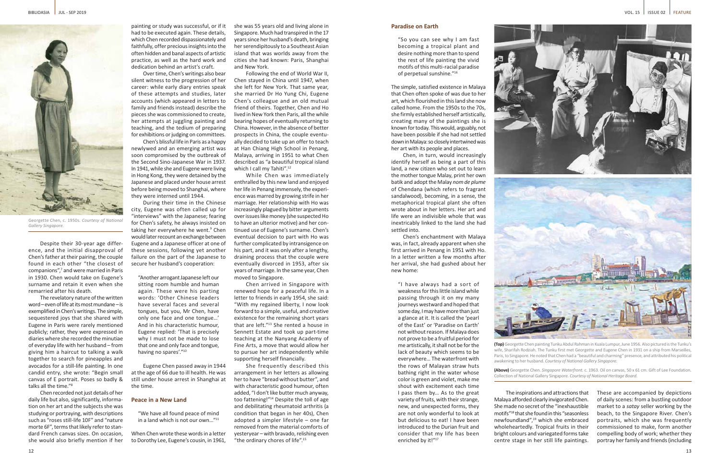

Georgette Chen, c. 1950s. *Courtesy of National Gallery Singapore.* 



**(Top)** Georgette Chen painting Tunku Abdul Rahman in Kuala Lumpur, June 1956. Also pictured is the Tunku's wife, Sharifah Rodziah. The Tunku first met Georgette and Eugene Chen in 1931 on a ship from Marseilles, Paris, to Singapore. He noted that Chen had a "beautiful and charming" presence, and attributed his political awakening to her husband. *Courtesy of National Gallery Singapore.* 

**(Above)** Georgette Chen. *Singapore Waterfront.* c. 1963. Oil on canvas, 50 x 61 cm. Gift of Lee Foundation. Collection of National Gallery Singapore. *Courtesy of National Heritage Board.*

Despite their 30-year age difference, and the initial disapproval of Chen's father at their pairing, the couple found in each other "the closest of companions",7 and were married in Paris in 1930. Chen would take on Eugene's surname and retain it even when she remarried after his death.

The revelatory nature of the written word – even of life at its most mundane – is exemplified in Chen's writings. The simple, sequestered joys that she shared with Eugene in Paris were rarely mentioned publicly; rather, they were expressed in diaries where she recorded the minutiae of everyday life with her husband – from giving him a haircut to talking a walk together to search for pineapples and avocados for a still-life painting. In one candid entry, she wrote: "Begin small canvas of E portrait. Poses so badly & talks all the time."<sup>8</sup>

Chen recorded not just details of her daily life but also, significantly, information on her art and the subjects she was studying or portraying, with descriptions such as "roses still-life 10F" and "nature morte 6F", terms that likely refer to standard French canvas sizes. On occasion, she would also briefly mention if her

painting or study was successful, or if it had to be executed again. These details, which Chen recorded dispassionately and faithfully, offer precious insights into the often hidden and banal aspects of artistic practice, as well as the hard work and dedication behind an artist's craft.

Following the end of World War II, Chen stayed in China until 1947, when she left for New York. That same year, she married Dr Ho Yung Chi, Eugene Chen's colleague and an old mutual friend of theirs. Together, Chen and Ho lived in New York then Paris, all the while bearing hopes of eventually returning to China. However, in the absence of better prospects in China, the couple eventually decided to take up an offer to teach at Han Chiang High School in Penang, Malaya, arriving in 1951 to what Chen described as "a beautiful tropical island which I call my Tahiti".<sup>12</sup>

Over time, Chen's writings also bear silent witness to the progression of her career: while early diary entries speak of these attempts and studies, later accounts (which appeared in letters to family and friends instead) describe the pieces she was commissioned to create, her attempts at juggling painting and teaching, and the tedium of preparing for exhibitions or judging on committees.

Chen's blissful life in Paris as a happy newlywed and an emerging artist was soon compromised by the outbreak of the Second Sino-Japanese War in 1937. In 1941, while she and Eugene were living in Hong Kong, they were detained by the Japanese and placed under house arrest before being moved to Shanghai, where they were interned until 1944.

During their time in the Chinese city, Eugene was often called up for "interviews" with the Japanese; fearing for Chen's safety, he always insisted on taking her everywhere he went.<sup>9</sup> Chen would later recount an exchange between Eugene and a Japanese officer at one of these sessions, following yet another failure on the part of the Japanese to secure her husband's cooperation:

"Another arrogant Japanese left our sitting room humble and human again. These were his parting words: 'Other Chinese leaders have several faces and several tongues, but you, Mr Chen, have only one face and one tongue…' And in his characteristic humour, Eugene replied: 'That is precisely why I must not be made to lose that one and only face and tongue, having no spares'."10

Eugene Chen passed away in 1944 at the age of 66 due to ill health. He was still under house arrest in Shanghai at the time.

### **Peace in a New Land**

"We have all found peace of mind in a land which is not our own…"<sup>11</sup>

When Chen wrote these words in a letter to Dorothy Lee, Eugene's cousin, in 1961, she was 55 years old and living alone in Singapore. Much had transpired in the 17 years since her husband's death, bringing her serendipitously to a Southeast Asian island that was worlds away from the cities she had known: Paris, Shanghai and New York.

While Chen was immediately enthralled by this new land and enjoyed her life in Penang immensely, the experience was marred by growing strife in her marriage. Her relationship with Ho was increasingly plagued by bitter arguments over issues like money (she suspected Ho to have an ulterior motive) and her continued use of Eugene's surname. Chen's eventual decision to part with Ho was further complicated by intransigence on his part, and it was only after a lengthy, draining process that the couple were eventually divorced in 1953, after six years of marriage. In the same year, Chen moved to Singapore.

Chen arrived in Singapore with renewed hope for a peaceful life. In a letter to friends in early 1954, she said: "With my regained liberty, I now look forward to a simple, useful, and creative existence for the remaining short years that are left."<sup>13</sup> She rented a house in Sennett Estate and took up part-time teaching at the Nanyang Academy of Fine Arts, a move that would allow her to pursue her art independently while supporting herself financially.

She frequently described this arrangement in her letters as allowing her to have "bread without butter", and with characteristic good humour, often added, "I don't like butter much anyway, too fattening!"<sup>14</sup> Despite the toll of age and debilitating rheumatoid arthritis (a condition that began in her 40s), Chen adopted a simpler lifestyle – one far removed from the material comforts of yesteryear – with bravado, relishing even "the ordinary chores of life".<sup>15</sup>

## **Paradise on Earth**

"So you can see why I am fast becoming a tropical plant and desire nothing more than to spend the rest of life painting the vivid motifs of this multi-racial paradise of perpetual sunshine."<sup>16</sup>

The simple, satisfied existence in Malaya that Chen often spoke of was due to her art, which flourished in this land she now called home. From the 1950s to the 70s, she firmly established herself artistically, creating many of the paintings she is known for today. This would, arguably, not have been possible if she had not settled down in Malaya: so closely intertwined was her art with its people and places.

Chen, in turn, would increasingly identify herself as being a part of this land, a new citizen who set out to learn the mother tongue Malay, print her own batik and adopt the Malay *nom de plume*  of Chendana (which refers to fragrant sandalwood), becoming, in a sense, the metaphorical tropical plant she often wrote about in her letters. Her art and life were an indivisible whole that was inextricably linked to the land she had settled into.

Chen's enchantment with Malaya was, in fact, already apparent when she first arrived in Penang in 1951 with Ho. In a letter written a few months after her arrival, she had gushed about her new home:

"I have always had a sort of weakness for this little island while passing through it on my many journeys westward and hoped that some day, I may have more than just a glance at it. It is called the 'pearl of the East' or 'Paradise on Earth' not without reason. If Malaya does not prove to be a fruitful period for me artistically, it shall not be for the lack of beauty which seems to be everywhere… The waterfront with the rows of Malayan straw huts bathing right in the water whose color is green and violet, make me shout with excitement each time I pass them by… As to the great variety of fruits, with their strange, new, and unexpected forms, they are not only wonderful to look at but delicious to eat! I have been introduced to the Durian fruit and consider that my life has been

enriched by it!"<sup>17</sup>

The inspirations and attractions that Malaya afforded clearly invigorated Chen. She made no secret of the "inexhaustible motifs"<sup>18</sup> that she found in this "seasonless newfoundland",19 which she embraced wholeheartedly. Tropical fruits in their bright colours and variegated forms take centre stage in her still life paintings.



These are accompanied by depictions of daily scenes: from a bustling outdoor market to a *satay* seller working by the beach, to the Singapore River. Chen's portraits, which she was frequently commissioned to make, form another compelling body of work; whether they portray her family and friends (including